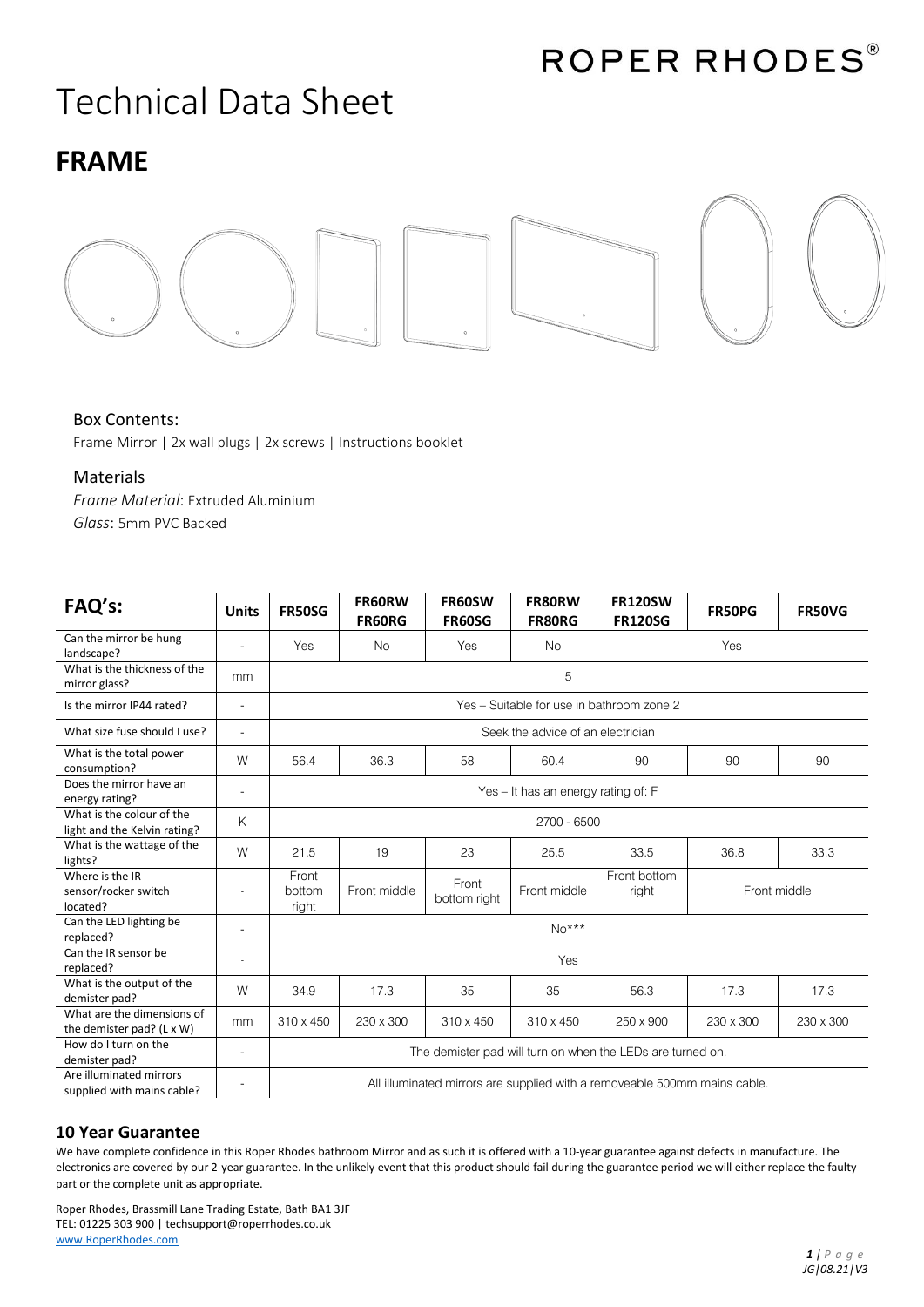# Technical Data Sheet

## **FRAME**



### Box Contents:

Frame Mirror | 2x wall plugs | 2x screws | Instructions booklet

#### Materials

*Frame Material*: Extruded Aluminium *Glass*: 5mm PVC Backed

| FAQ's:                                                    | <b>Units</b>             | <b>FR50SG</b>                                                             | FR60RW<br><b>FR60RG</b> | FR60SW<br><b>FR60SG</b> | FR80RW<br><b>FR80RG</b> | <b>FR120SW</b><br><b>FR120SG</b> | FR50PG       | <b>FR50VG</b> |  |
|-----------------------------------------------------------|--------------------------|---------------------------------------------------------------------------|-------------------------|-------------------------|-------------------------|----------------------------------|--------------|---------------|--|
| Can the mirror be hung<br>landscape?                      |                          | Yes                                                                       | <b>No</b>               | Yes                     | <b>No</b>               |                                  | Yes          |               |  |
| What is the thickness of the<br>mirror glass?             | mm                       | 5                                                                         |                         |                         |                         |                                  |              |               |  |
| Is the mirror IP44 rated?                                 | $\overline{\phantom{a}}$ | Yes - Suitable for use in bathroom zone 2                                 |                         |                         |                         |                                  |              |               |  |
| What size fuse should I use?                              | $\overline{a}$           | Seek the advice of an electrician                                         |                         |                         |                         |                                  |              |               |  |
| What is the total power<br>consumption?                   | W                        | 56.4                                                                      | 36.3                    | 58                      | 60.4                    | 90                               | 90           | 90            |  |
| Does the mirror have an<br>energy rating?                 | $\overline{a}$           | Yes - It has an energy rating of: F                                       |                         |                         |                         |                                  |              |               |  |
| What is the colour of the<br>light and the Kelvin rating? | K                        | 2700 - 6500                                                               |                         |                         |                         |                                  |              |               |  |
| What is the wattage of the<br>lights?                     | W                        | 21.5                                                                      | 19                      | 23                      | 25.5                    | 33.5                             | 36.8         | 33.3          |  |
| Where is the IR<br>sensor/rocker switch<br>located?       |                          | Front<br>bottom<br>right                                                  | Front middle            | Front<br>bottom right   | Front middle            | Front bottom<br>right            | Front middle |               |  |
| Can the LED lighting be<br>replaced?                      |                          | $No***$                                                                   |                         |                         |                         |                                  |              |               |  |
| Can the IR sensor be<br>replaced?                         |                          | Yes                                                                       |                         |                         |                         |                                  |              |               |  |
| What is the output of the<br>demister pad?                | W                        | 34.9                                                                      | 17.3                    | 35                      | 35                      | 56.3                             | 17.3         | 17.3          |  |
| What are the dimensions of<br>the demister pad? (L x W)   | mm                       | 310 x 450                                                                 | 230 x 300               | 310 x 450               | 310 x 450               | 250 x 900                        | 230 x 300    | 230 x 300     |  |
| How do I turn on the<br>demister pad?                     | $\overline{\phantom{a}}$ | The demister pad will turn on when the LEDs are turned on.                |                         |                         |                         |                                  |              |               |  |
| Are illuminated mirrors<br>supplied with mains cable?     |                          | All illuminated mirrors are supplied with a removeable 500mm mains cable. |                         |                         |                         |                                  |              |               |  |

### **10 Year Guarantee**

We have complete confidence in this Roper Rhodes bathroom Mirror and as such it is offered with a 10-year guarantee against defects in manufacture. The electronics are covered by our 2-year guarantee. In the unlikely event that this product should fail during the guarantee period we will either replace the faulty part or the complete unit as appropriate.

Roper Rhodes, Brassmill Lane Trading Estate, Bath BA1 3JF TEL: 01225 303 900 | techsupport@roperrhodes.co.uk [www.RoperRhodes.com](http://www.roperrhodes.com/)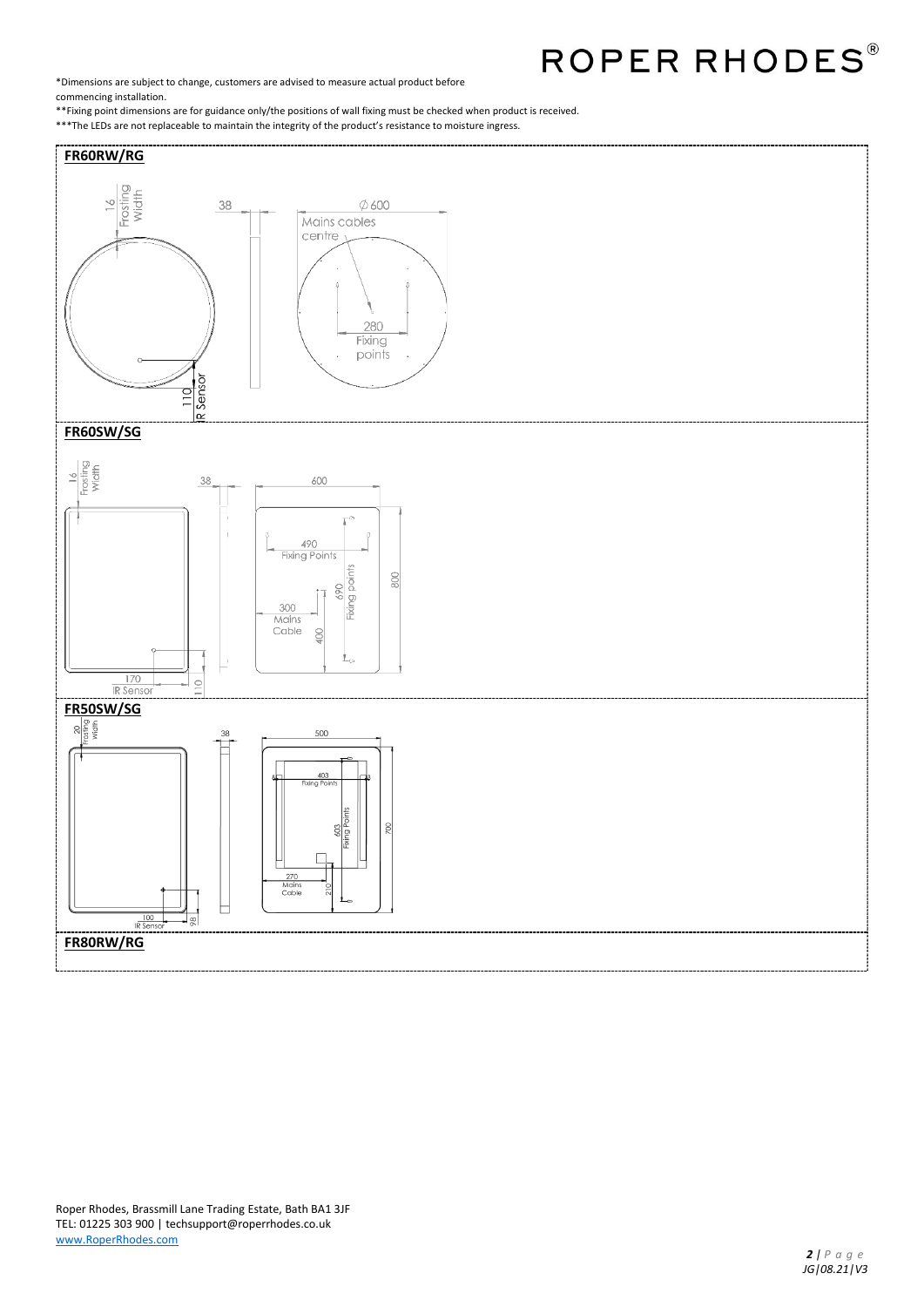ROPER RHODES®

\*Dimensions are subject to change, customers are advised to measure actual product before commencing installation.

\*\*Fixing point dimensions are for guidance only/the positions of wall fixing must be checked when product is received. \*\*\*The LEDs are not replaceable to maintain the integrity of the product's resistance to moisture ingress.

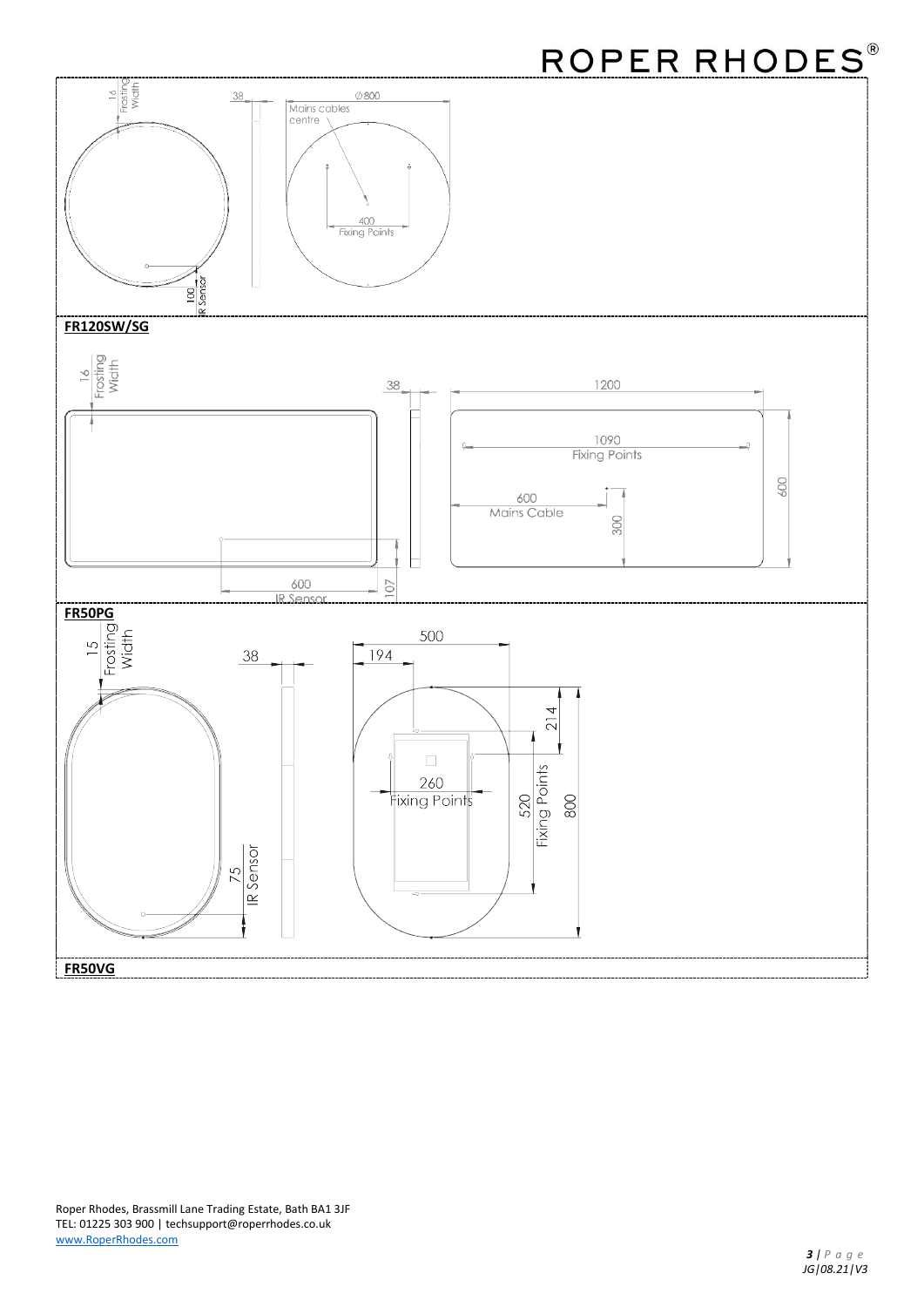